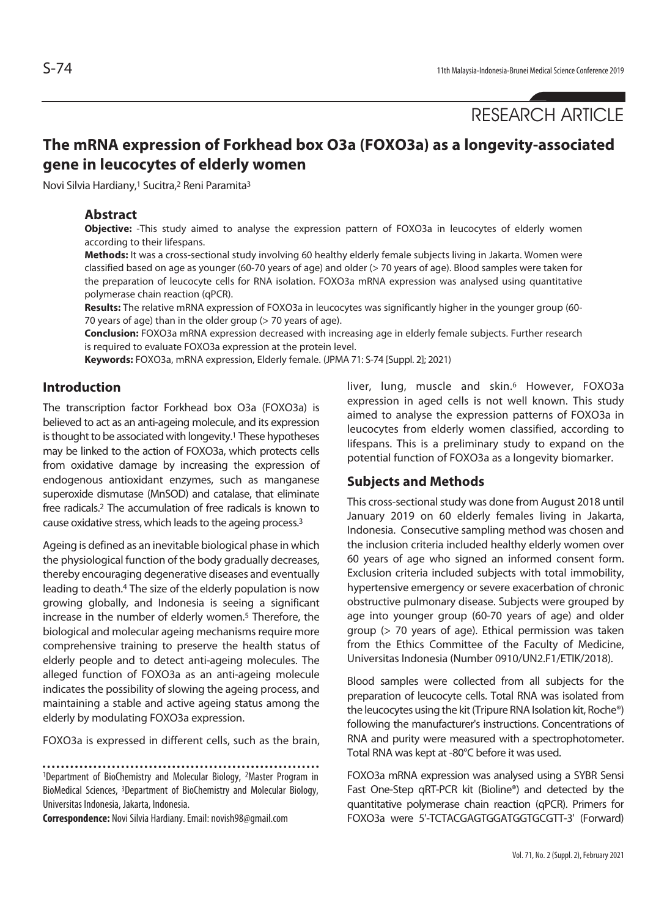RESEARCH ARTICLE

# **The mRNA expression of Forkhead box O3a (FOXO3a) as a longevity-associated gene in leucocytes of elderly women**

Novi Silvia Hardiany,1 Sucitra,2 Reni Paramita3

#### **Abstract**

**Objective:** -This study aimed to analyse the expression pattern of FOXO3a in leucocytes of elderly women according to their lifespans.

**Methods:** It was a cross-sectional study involving 60 healthy elderly female subjects living in Jakarta. Women were classified based on age as younger (60-70 years of age) and older (> 70 years of age). Blood samples were taken for the preparation of leucocyte cells for RNA isolation. FOXO3a mRNA expression was analysed using quantitative polymerase chain reaction (qPCR).

**Results:** The relative mRNA expression of FOXO3a in leucocytes was significantly higher in the younger group (60- 70 years of age) than in the older group (> 70 years of age).

**Conclusion:** FOXO3a mRNA expression decreased with increasing age in elderly female subjects. Further research is required to evaluate FOXO3a expression at the protein level.

**Keywords:** FOXO3a, mRNA expression, Elderly female. (JPMA 71: S-74 [Suppl. 2]; 2021)

#### **Introduction**

The transcription factor Forkhead box O3a (FOXO3a) is believed to act as an anti-ageing molecule, and its expression is thought to be associated with longevity.<sup>1</sup> These hypotheses may be linked to the action of FOXO3a, which protects cells from oxidative damage by increasing the expression of endogenous antioxidant enzymes, such as manganese superoxide dismutase (MnSOD) and catalase, that eliminate free radicals.2 The accumulation of free radicals is known to cause oxidative stress, which leads to the ageing process.3

Ageing is defined as an inevitable biological phase in which the physiological function of the body gradually decreases, thereby encouraging degenerative diseases and eventually leading to death.4 The size of the elderly population is now growing globally, and Indonesia is seeing a significant increase in the number of elderly women.<sup>5</sup> Therefore, the biological and molecular ageing mechanisms require more comprehensive training to preserve the health status of elderly people and to detect anti-ageing molecules. The alleged function of FOXO3a as an anti-ageing molecule indicates the possibility of slowing the ageing process, and maintaining a stable and active ageing status among the elderly by modulating FOXO3a expression.

FOXO3a is expressed in different cells, such as the brain,

1Department of BioChemistry and Molecular Biology, 2Master Program in BioMedical Sciences, 3Department of BioChemistry and Molecular Biology, Universitas Indonesia, Jakarta, Indonesia.

**Correspondence:** Novi Silvia Hardiany. Email: novish98@gmail.com

liver, lung, muscle and skin.<sup>6</sup> However, FOXO3a expression in aged cells is not well known. This study aimed to analyse the expression patterns of FOXO3a in leucocytes from elderly women classified, according to lifespans. This is a preliminary study to expand on the potential function of FOXO3a as a longevity biomarker.

#### **Subjects and Methods**

This cross-sectional study was done from August 2018 until January 2019 on 60 elderly females living in Jakarta, Indonesia. Consecutive sampling method was chosen and the inclusion criteria included healthy elderly women over 60 years of age who signed an informed consent form. Exclusion criteria included subjects with total immobility, hypertensive emergency or severe exacerbation of chronic obstructive pulmonary disease. Subjects were grouped by age into younger group (60-70 years of age) and older group (> 70 years of age). Ethical permission was taken from the Ethics Committee of the Faculty of Medicine, Universitas Indonesia (Number 0910/UN2.F1/ETIK/2018).

Blood samples were collected from all subjects for the preparation of leucocyte cells. Total RNA was isolated from the leucocytes using the kit (Tripure RNA Isolation kit, Roche®) following the manufacturer's instructions. Concentrations of RNA and purity were measured with a spectrophotometer. Total RNA was kept at -80°C before it was used.

FOXO3a mRNA expression was analysed using a SYBR Sensi Fast One-Step qRT-PCR kit (Bioline®) and detected by the quantitative polymerase chain reaction (qPCR). Primers for FOXO3a were 5'-TCTACGAGTGGATGGTGCGTT-3' (Forward)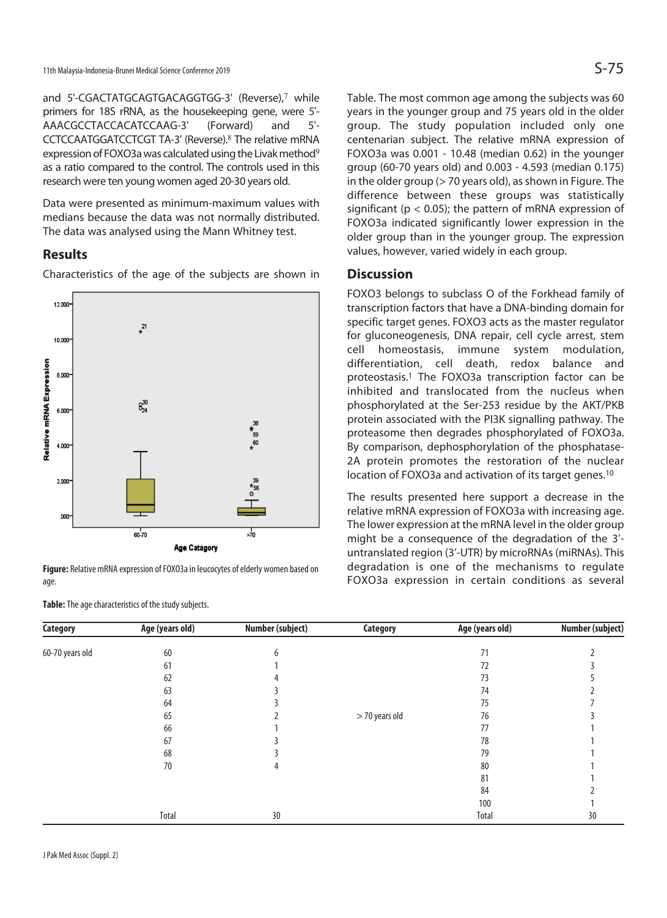and 5'-CGACTATGCAGTGACAGGTGG-3' (Reverse),<sup>7</sup> while primers for 18S rRNA, as the housekeeping gene, were 5'- AAACGCCTACCACATCCAAG-3' (Forward) and 5'- CCTCCAATGGATCCTCGT TA-3' (Reverse).<sup>8</sup> The relative mRNA expression of FOXO3a was calculated using the Livak method<sup>9</sup> as a ratio compared to the control. The controls used in this research were ten young women aged 20-30 years old.

Data were presented as minimum-maximum values with medians because the data was not normally distributed. The data was analysed using the Mann Whitney test.

## **Results**

Characteristics of the age of the subjects are shown in



**Figure:** Relative mRNA expression of FOXO3a in leucocytes of elderly women based on age.

**Table:** The age characteristics of the study subjects.

Table. The most common age among the subjects was 60 years in the younger group and 75 years old in the older group. The study population included only one centenarian subject. The relative mRNA expression of FOXO3a was 0.001 - 10.48 (median 0.62) in the younger group (60-70 years old) and 0.003 - 4.593 (median 0.175) in the older group (> 70 years old), as shown in Figure. The difference between these groups was statistically significant ( $p < 0.05$ ); the pattern of mRNA expression of FOXO3a indicated significantly lower expression in the older group than in the younger group. The expression values, however, varied widely in each group.

#### **Discussion**

FOXO3 belongs to subclass O of the Forkhead family of transcription factors that have a DNA-binding domain for specific target genes. FOXO3 acts as the master regulator for gluconeogenesis, DNA repair, cell cycle arrest, stem cell homeostasis, immune system modulation, differentiation, cell death, redox balance and proteostasis.1 The FOXO3a transcription factor can be inhibited and translocated from the nucleus when phosphorylated at the Ser-253 residue by the AKT/PKB protein associated with the PI3K signalling pathway. The proteasome then degrades phosphorylated of FOXO3a. By comparison, dephosphorylation of the phosphatase-2A protein promotes the restoration of the nuclear location of FOXO3a and activation of its target genes.10

The results presented here support a decrease in the relative mRNA expression of FOXO3a with increasing age. The lower expression at the mRNA level in the older group might be a consequence of the degradation of the 3' untranslated region (3'-UTR) by microRNAs (miRNAs). This degradation is one of the mechanisms to regulate FOXO3a expression in certain conditions as several

| <b>Category</b> | Age (years old) | Number (subject) | <b>Category</b> | Age (years old) | <b>Number (subject)</b> |
|-----------------|-----------------|------------------|-----------------|-----------------|-------------------------|
| 60-70 years old | 60              |                  |                 | 71              |                         |
|                 | 61              |                  |                 | 72              |                         |
|                 | 62              |                  |                 | 73              |                         |
|                 | 63              |                  |                 | 74              |                         |
|                 | 64              |                  |                 | 75              |                         |
|                 | 65              |                  | > 70 years old  | 76              |                         |
|                 | 66              |                  |                 | 77              |                         |
|                 | 67              |                  |                 | 78              |                         |
|                 | 68              |                  |                 | 79              |                         |
|                 | 70              | 4                |                 | 80              |                         |
|                 |                 |                  |                 | 81              |                         |
|                 |                 |                  |                 | 84              |                         |
|                 |                 |                  |                 | 100             |                         |
|                 | Total           | 30               |                 | Total           | 30                      |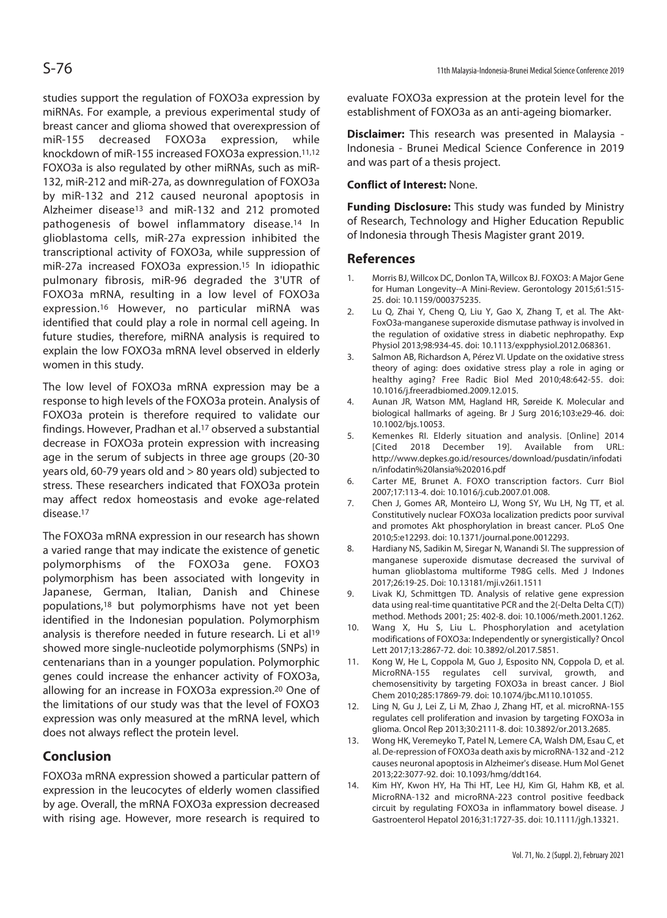studies support the regulation of FOXO3a expression by miRNAs. For example, a previous experimental study of breast cancer and glioma showed that overexpression of miR-155 decreased FOXO3a expression, while knockdown of miR-155 increased FOXO3a expression.11,12 FOXO3a is also regulated by other miRNAs, such as miR-132, miR-212 and miR-27a, as downregulation of FOXO3a by miR-132 and 212 caused neuronal apoptosis in Alzheimer disease13 and miR-132 and 212 promoted pathogenesis of bowel inflammatory disease.14 In glioblastoma cells, miR-27a expression inhibited the transcriptional activity of FOXO3a, while suppression of miR-27a increased FOXO3a expression.15 In idiopathic pulmonary fibrosis, miR-96 degraded the 3'UTR of FOXO3a mRNA, resulting in a low level of FOXO3a expression.16 However, no particular miRNA was identified that could play a role in normal cell ageing. In future studies, therefore, miRNA analysis is required to explain the low FOXO3a mRNA level observed in elderly women in this study.

The low level of FOXO3a mRNA expression may be a response to high levels of the FOXO3a protein. Analysis of FOXO3a protein is therefore required to validate our findings. However, Pradhan et al.<sup>17</sup> observed a substantial decrease in FOXO3a protein expression with increasing age in the serum of subjects in three age groups (20-30 years old, 60-79 years old and > 80 years old) subjected to stress. These researchers indicated that FOXO3a protein may affect redox homeostasis and evoke age-related disease.17

The FOXO3a mRNA expression in our research has shown a varied range that may indicate the existence of genetic polymorphisms of the FOXO3a gene. FOXO3 polymorphism has been associated with longevity in Japanese, German, Italian, Danish and Chinese populations,18 but polymorphisms have not yet been identified in the Indonesian population. Polymorphism analysis is therefore needed in future research. Li et al<sup>19</sup> showed more single-nucleotide polymorphisms (SNPs) in centenarians than in a younger population. Polymorphic genes could increase the enhancer activity of FOXO3a, allowing for an increase in FOXO3a expression.20 One of the limitations of our study was that the level of FOXO3 expression was only measured at the mRNA level, which does not always reflect the protein level.

# **Conclusion**

FOXO3a mRNA expression showed a particular pattern of expression in the leucocytes of elderly women classified by age. Overall, the mRNA FOXO3a expression decreased with rising age. However, more research is required to evaluate FOXO3a expression at the protein level for the establishment of FOXO3a as an anti-ageing biomarker.

**Disclaimer:** This research was presented in Malaysia - Indonesia - Brunei Medical Science Conference in 2019 and was part of a thesis project.

## **Conflict of Interest:** None.

**Funding Disclosure:** This study was funded by Ministry of Research, Technology and Higher Education Republic of Indonesia through Thesis Magister grant 2019.

## **References**

- 1. Morris BJ, Willcox DC, Donlon TA, Willcox BJ. FOXO3: A Major Gene for Human Longevity--A Mini-Review. Gerontology 2015;61:515- 25. doi: 10.1159/000375235.
- 2. Lu Q, Zhai Y, Cheng Q, Liu Y, Gao X, Zhang T, et al. The Akt-FoxO3a-manganese superoxide dismutase pathway is involved in the regulation of oxidative stress in diabetic nephropathy. Exp Physiol 2013;98:934-45. doi: 10.1113/expphysiol.2012.068361.
- 3. Salmon AB, Richardson A, Pérez VI. Update on the oxidative stress theory of aging: does oxidative stress play a role in aging or healthy aging? Free Radic Biol Med 2010;48:642-55. doi: 10.1016/j.freeradbiomed.2009.12.015.
- 4. Aunan JR, Watson MM, Hagland HR, Søreide K. Molecular and biological hallmarks of ageing. Br J Surg 2016;103:e29-46. doi: 10.1002/bjs.10053.
- 5. Kemenkes RI. Elderly situation and analysis. [Online] 2014 [Cited 2018 December 19]. Available from URL: http://www.depkes.go.id/resources/download/pusdatin/infodati n/infodatin%20lansia%202016.pdf
- 6. Carter ME, Brunet A. FOXO transcription factors. Curr Biol 2007;17:113-4. doi: 10.1016/j.cub.2007.01.008.
- 7. Chen J, Gomes AR, Monteiro LJ, Wong SY, Wu LH, Ng TT, et al. Constitutively nuclear FOXO3a localization predicts poor survival and promotes Akt phosphorylation in breast cancer. PLoS One 2010;5:e12293. doi: 10.1371/journal.pone.0012293.
- 8. Hardiany NS, Sadikin M, Siregar N, Wanandi SI. The suppression of manganese superoxide dismutase decreased the survival of human glioblastoma multiforme T98G cells. Med J Indones 2017;26:19-25. Doi: 10.13181/mji.v26i1.1511
- 9. Livak KJ, Schmittgen TD. Analysis of relative gene expression data using real-time quantitative PCR and the 2(-Delta Delta C(T)) method. Methods 2001; 25: 402-8. doi: 10.1006/meth.2001.1262.
- 10. Wang X, Hu S, Liu L. Phosphorylation and acetylation modifications of FOXO3a: Independently or synergistically? Oncol Lett 2017;13:2867-72. doi: 10.3892/ol.2017.5851.
- 11. Kong W, He L, Coppola M, Guo J, Esposito NN, Coppola D, et al. MicroRNA-155 regulates cell survival, growth, and chemosensitivity by targeting FOXO3a in breast cancer. J Biol Chem 2010;285:17869-79. doi: 10.1074/jbc.M110.101055.
- 12. Ling N, Gu J, Lei Z, Li M, Zhao J, Zhang HT, et al. microRNA-155 regulates cell proliferation and invasion by targeting FOXO3a in glioma. Oncol Rep 2013;30:2111-8. doi: 10.3892/or.2013.2685.
- 13. Wong HK, Veremeyko T, Patel N, Lemere CA, Walsh DM, Esau C, et al. De-repression of FOXO3a death axis by microRNA-132 and -212 causes neuronal apoptosis in Alzheimer's disease. Hum Mol Genet 2013;22:3077-92. doi: 10.1093/hmg/ddt164.
- 14. Kim HY, Kwon HY, Ha Thi HT, Lee HJ, Kim GI, Hahm KB, et al. MicroRNA-132 and microRNA-223 control positive feedback circuit by regulating FOXO3a in inflammatory bowel disease. J Gastroenterol Hepatol 2016;31:1727-35. doi: 10.1111/jgh.13321.